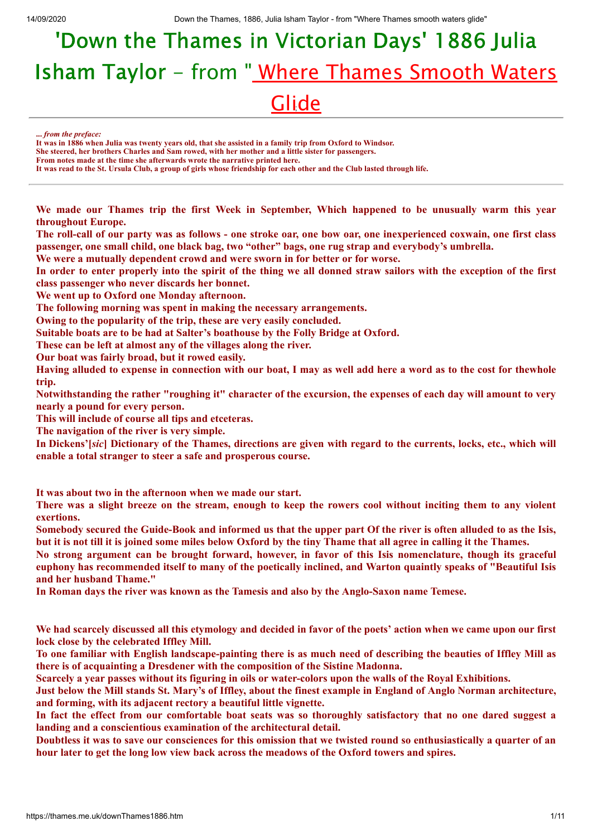## <u>Glide</u> 'Down the Thames in Victorian Days' 1886 Julia Isham Taylor - from "Where Thames Smooth Waters

**...** *from the preface:*

**It was in 1886 when Julia was twenty years old, that she assisted in a family trip from Oxford to Windsor.**

**She steered, her brothers Charles and Sam rowed, with her mother and a little sister for passengers. From notes made at the time she afterwards wrote the narrative printed here.**

**It was read to the St. Ursula Club, a group of girls whose friendship for each other and the Club lasted through life.**

**We made our Thames trip the first Week in September, Which happened to be unusually warm this year throughout Europe.**

The roll-call of our party was as follows - one stroke oar, one bow oar, one inexperienced coxwain, one first class **passenger, one small child, one black bag, two "other" bags, one rug strap and everybody's umbrella.**

**We were a mutually dependent crowd and were sworn in for better or for worse.**

In order to enter properly into the spirit of the thing we all donned straw sailors with the exception of the first **class passenger who never discards her bonnet.**

**We went up to Oxford one Monday afternoon.**

**The following morning was spent in making the necessary arrangements.**

**Owing to the popularity of the trip, these are very easily concluded.**

**Suitable boats are to be had at Salter's boathouse by the Folly Bridge at Oxford.**

**These can be left at almost any of the villages along the river.**

**Our boat was fairly broad, but it rowed easily.**

Having alluded to expense in connection with our boat, I may as well add here a word as to the cost for thewhole **trip.**

Notwithstanding the rather "roughing it" character of the excursion, the expenses of each day will amount to very **nearly a pound for every person.**

**This will include of course all tips and etceteras.**

**The navigation of the river is very simple.**

In Dickens'[sic] Dictionary of the Thames, directions are given with regard to the currents, locks, etc., which will **enable a total stranger to steer a safe and prosperous course.**

**It was about two in the afternoon when we made our start.**

There was a slight breeze on the stream, enough to keep the rowers cool without inciting them to any violent **exertions.**

Somebody secured the Guide-Book and informed us that the upper part Of the river is often alluded to as the Isis, but it is not till it is joined some miles below Oxford by the tiny Thame that all agree in calling it the Thames.

No strong argument can be brought forward, however, in favor of this Isis nomenclature, though its graceful euphony has recommended itself to many of the poetically inclined, and Warton quaintly speaks of "Beautiful Isis **and her husband Thame."**

**In Roman days the river was known as the Tamesis and also by the Anglo-Saxon name Temese.**

We had scarcely discussed all this etymology and decided in favor of the poets' action when we came upon our first **lock close by the celebrated Iffley Mill.**

To one familiar with English landscape-painting there is as much need of describing the beauties of Iffley Mill as **there is of acquainting a Dresdener with the composition of the Sistine Madonna.**

Scarcely a year passes without its figuring in oils or water-colors upon the walls of the Royal Exhibitions.

Just below the Mill stands St. Mary's of Iffley, about the finest example in England of Anglo Norman architecture, **and forming, with its adjacent rectory a beautiful little vignette.**

In fact the effect from our comfortable boat seats was so thoroughly satisfactory that no one dared suggest a **landing and a conscientious examination of the architectural detail.**

Doubtless it was to save our consciences for this omission that we twisted round so enthusiastically a quarter of an **hour later to get the long low view back across the meadows of the Oxford towers and spires.**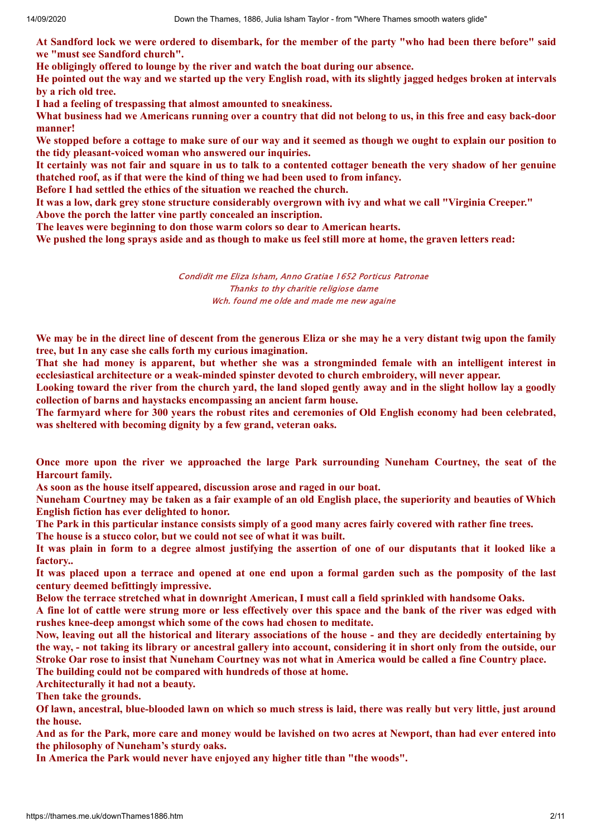At Sandford lock we were ordered to disembark, for the member of the party "who had been there before" said **we "must see Sandford church".**

**He obligingly offered to lounge by the river and watch the boat during our absence.**

He pointed out the way and we started up the very English road, with its slightly jagged hedges broken at intervals **by a rich old tree.**

**I had a feeling of trespassing that almost amounted to sneakiness.**

What business had we Americans running over a country that did not belong to us, in this free and easy back-door **manner!**

We stopped before a cottage to make sure of our way and it seemed as though we ought to explain our position to **the tidy pleasant-voiced woman who answered our inquiries.**

It certainly was not fair and square in us to talk to a contented cottager beneath the very shadow of her genuine **thatched roof, as if that were the kind of thing we had been used to from infancy.**

**Before I had settled the ethics of the situation we reached the church.**

It was a low, dark grey stone structure considerably overgrown with ivy and what we call "Virginia Creeper." **Above the porch the latter vine partly concealed an inscription.**

**The leaves were beginning to don those warm colors so dear to American hearts.**

We pushed the long sprays aside and as though to make us feel still more at home, the graven letters read:

Condidit me Eliza Isham, Anno Gratiae 1652 Porticus Patronae Thanks to thy charitie religiose dame Wch. found me olde and made me new againe

We may be in the direct line of descent from the generous Eliza or she may he a very distant twig upon the family **tree, but 1n any case she calls forth my curious imagination.**

That she had money is apparent, but whether she was a strongminded female with an intelligent interest in **ecclesiastical architecture or a weak-minded spinster devoted to church embroidery, will never appear.**

Looking toward the river from the church vard, the land sloped gently away and in the slight hollow lay a goodly **collection of barns and haystacks encompassing an ancient farm house.**

The farmyard where for 300 years the robust rites and ceremonies of Old English economy had been celebrated, **was sheltered with becoming dignity by a few grand, veteran oaks.**

**Once more upon the river we approached the large Park surrounding Nuneham Courtney, the seat of the Harcourt family.**

**As soon as the house itself appeared, discussion arose and raged in our boat.**

Nuneham Courtney may be taken as a fair example of an old English place, the superiority and beauties of Which **English fiction has ever delighted to honor.**

The Park in this particular instance consists simply of a good many acres fairly covered with rather fine trees.

**The house is a stucco color, but we could not see of what it was built.**

It was plain in form to a degree almost justifying the assertion of one of our disputants that it looked like a **factory..**

It was placed upon a terrace and opened at one end upon a formal garden such as the pomposity of the last **century deemed befittingly impressive.**

**Below the terrace stretched what in downright American, I must call a field sprinkled with handsome Oaks.**

A fine lot of cattle were strung more or less effectively over this space and the bank of the river was edged with **rushes knee-deep amongst which some of the cows had chosen to meditate.**

Now, leaving out all the historical and literary associations of the house - and they are decidedly entertaining by the way, - not taking its library or ancestral gallery into account, considering it in short only from the outside, our Stroke Oar rose to insist that Nuneham Courtney was not what in America would be called a fine Country place. **The building could not be compared with hundreds of those at home.**

**Architecturally it had not a beauty.**

**Then take the grounds.**

Of lawn, ancestral, blue-blooded lawn on which so much stress is laid, there was really but very little, just around **the house.**

And as for the Park, more care and money would be lavished on two acres at Newport, than had ever entered into **the philosophy of Nuneham's sturdy oaks.**

**In America the Park would never have enjoyed any higher title than "the woods".**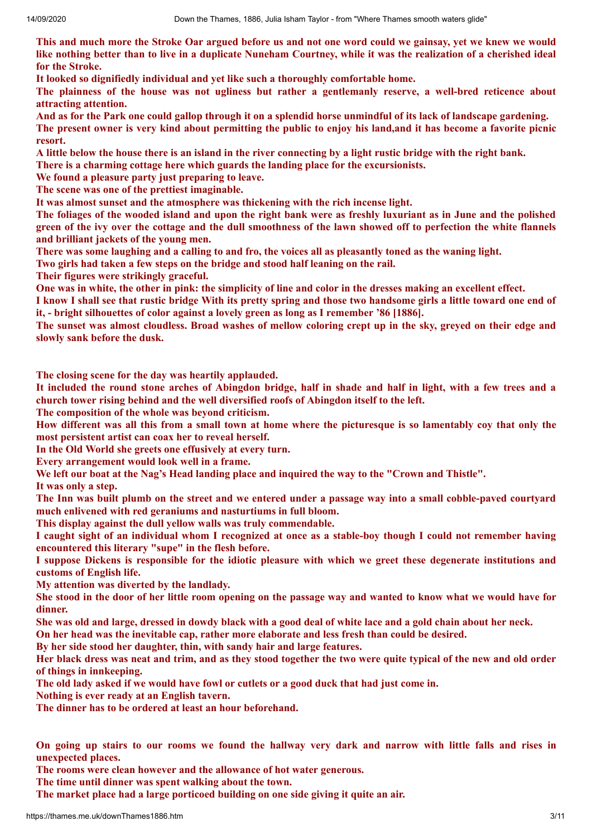This and much more the Stroke Oar argued before us and not one word could we gainsay, yet we knew we would like nothing better than to live in a duplicate Nuneham Courtney, while it was the realization of a cherished ideal **for the Stroke.**

**It looked so dignifiedly individual and yet like such a thoroughly comfortable home.**

**The plainness of the house was not ugliness but rather a gentlemanly reserve, a well-bred reticence about attracting attention.**

And as for the Park one could gallop through it on a splendid horse unmindful of its lack of landscape gardening.

The present owner is very kind about permitting the public to enjoy his land, and it has become a favorite picnic **resort.**

A little below the house there is an island in the river connecting by a light rustic bridge with the right bank.

**There is a charming cottage here which guards the landing place for the excursionists.**

**We found a pleasure party just preparing to leave.**

**The scene was one of the prettiest imaginable.**

**It was almost sunset and the atmosphere was thickening with the rich incense light.**

The foliages of the wooded island and upon the right bank were as freshly luxuriant as in June and the polished green of the ivy over the cottage and the dull smoothness of the lawn showed off to perfection the white flannels **and brilliant jackets of the young men.**

There was some laughing and a calling to and fro, the voices all as pleasantly toned as the waning light.

**Two girls had taken a few steps on the bridge and stood half leaning on the rail.**

**Their figures were strikingly graceful.**

One was in white, the other in pink: the simplicity of line and color in the dresses making an excellent effect.

I know I shall see that rustic bridge With its pretty spring and those two handsome girls a little toward one end of **it, - bright silhouettes of color against a lovely green as long as I remember '86 [1886].**

The sunset was almost cloudless. Broad washes of mellow coloring crept up in the sky, greved on their edge and **slowly sank before the dusk.**

**The closing scene for the day was heartily applauded.**

It included the round stone arches of Abingdon bridge, half in shade and half in light, with a few trees and a **church tower rising behind and the well diversified roofs of Abingdon itself to the left.**

**The composition of the whole was beyond criticism.**

How different was all this from a small town at home where the picturesque is so lamentably coy that only the **most persistent artist can coax her to reveal herself.**

**In the Old World she greets one effusively at every turn.**

**Every arrangement would look well in a frame.**

We left our boat at the Nag's Head landing place and inquired the way to the "Crown and Thistle".

**It was only a step.**

The Inn was built plumb on the street and we entered under a passage way into a small cobble-paved courtyard **much enlivened with red geraniums and nasturtiums in full bloom.**

**This display against the dull yellow walls was truly commendable.**

I caught sight of an individual whom I recognized at once as a stable-boy though I could not remember having **encountered this literary "supe" in the flesh before.**

I suppose Dickens is responsible for the idiotic pleasure with which we greet these degenerate institutions and **customs of English life.**

**My attention was diverted by the landlady.**

She stood in the door of her little room opening on the passage way and wanted to know what we would have for **dinner.**

She was old and large, dressed in dowdy black with a good deal of white lace and a gold chain about her neck.

**On her head was the inevitable cap, rather more elaborate and less fresh than could be desired.**

**By her side stood her daughter, thin, with sandy hair and large features.**

Her black dress was neat and trim, and as they stood together the two were quite typical of the new and old order **of things in innkeeping.**

The old lady asked if we would have fowl or cutlets or a good duck that had just come in.

**Nothing is ever ready at an English tavern.**

**The dinner has to be ordered at least an hour beforehand.**

On going up stairs to our rooms we found the hallway very dark and narrow with little falls and rises in **unexpected places.**

**The rooms were clean however and the allowance of hot water generous.**

**The time until dinner was spent walking about the town.**

**The market place had a large porticoed building on one side giving it quite an air.**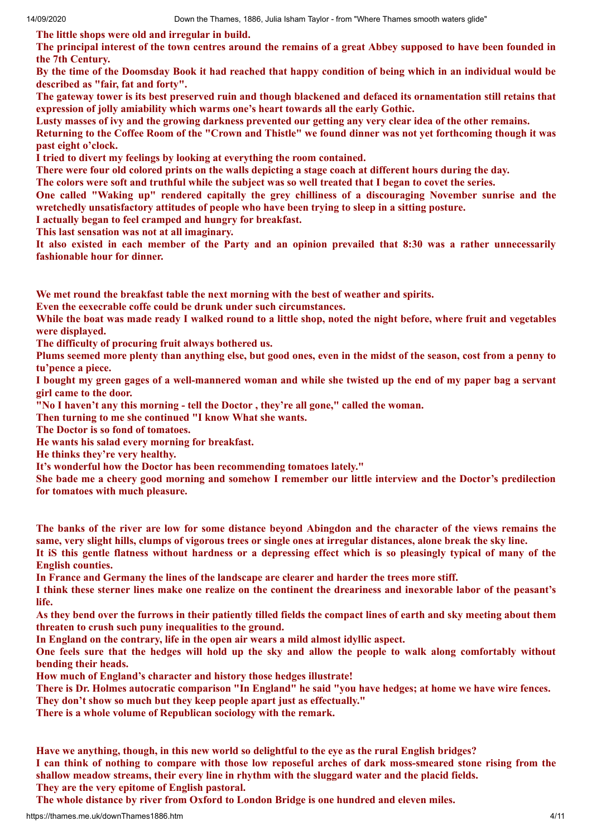**The little shops were old and irregular in build.**

The principal interest of the town centres around the remains of a great Abbey supposed to have been founded in **the 7th Century.**

By the time of the Doomsday Book it had reached that happy condition of being which in an individual would be **described as "fair, fat and forty".**

The gateway tower is its best preserved ruin and though blackened and defaced its ornamentation still retains that **expression of jolly amiability which warms one's heart towards all the early Gothic.**

Lusty masses of ivy and the growing darkness prevented our getting any very clear idea of the other remains.

Returning to the Coffee Room of the "Crown and Thistle" we found dinner was not yet forthcoming though it was **past eight o'clock.**

**I tried to divert my feelings by looking at everything the room contained.**

There were four old colored prints on the walls depicting a stage coach at different hours during the day.

The colors were soft and truthful while the subject was so well treated that I began to covet the series.

**One called "Waking up" rendered capitally the grey chilliness of a discouraging November sunrise and the wretchedly unsatisfactory attitudes of people who have been trying to sleep in a sitting posture.**

**I actually began to feel cramped and hungry for breakfast.**

**This last sensation was not at all imaginary.**

It also existed in each member of the Party and an opinion prevailed that 8:30 was a rather unnecessarily **fashionable hour for dinner.**

**We met round the breakfast table the next morning with the best of weather and spirits.**

**Even the eexecrable coffe could be drunk under such circumstances.**

While the boat was made ready I walked round to a little shop, noted the night before, where fruit and vegetables **were displayed.**

**The difficulty of procuring fruit always bothered us.**

Plums seemed more plenty than anything else, but good ones, even in the midst of the season, cost from a penny to **tu'pence a piece.**

I bought my green gages of a well-mannered woman and while she twisted up the end of my paper bag a servant **girl came to the door.**

**"No I haven't any this morning - tell the Doctor , they're all gone," called the woman.**

**Then turning to me she continued "I know What she wants.**

**The Doctor is so fond of tomatoes.**

**He wants his salad every morning for breakfast.**

**He thinks they're very healthy.**

**It's wonderful how the Doctor has been recommending tomatoes lately."**

She bade me a cheery good morning and somehow I remember our little interview and the Doctor's predilection **for tomatoes with much pleasure.**

The banks of the river are low for some distance beyond Abingdon and the character of the views remains the same, very slight hills, clumps of vigorous trees or single ones at irregular distances, alone break the sky line.

It is this gentle flatness without hardness or a depressing effect which is so pleasingly typical of many of the **English counties.**

**In France and Germany the lines of the landscape are clearer and harder the trees more stiff.**

I think these sterner lines make one realize on the continent the dreariness and inexorable labor of the peasant's **life.**

As they bend over the furrows in their patiently tilled fields the compact lines of earth and sky meeting about them **threaten to crush such puny inequalities to the ground.**

**In England on the contrary, life in the open air wears a mild almost idyllic aspect.**

One feels sure that the hedges will hold up the sky and allow the people to walk along comfortably without **bending their heads.**

**How much of England's character and history those hedges illustrate!**

There is Dr. Holmes autocratic comparison "In England" he said "you have hedges; at home we have wire fences.

**They don't show so much but they keep people apart just as effectually."**

**There is a whole volume of Republican sociology with the remark.**

**Have we anything, though, in this new world so delightful to the eye as the rural English bridges?** I can think of nothing to compare with those low reposeful arches of dark moss-smeared stone rising from the

**shallow meadow streams, their every line in rhythm with the sluggard water and the placid fields. They are the very epitome of English pastoral.**

**The whole distance by river from Oxford to London Bridge is one hundred and eleven miles.**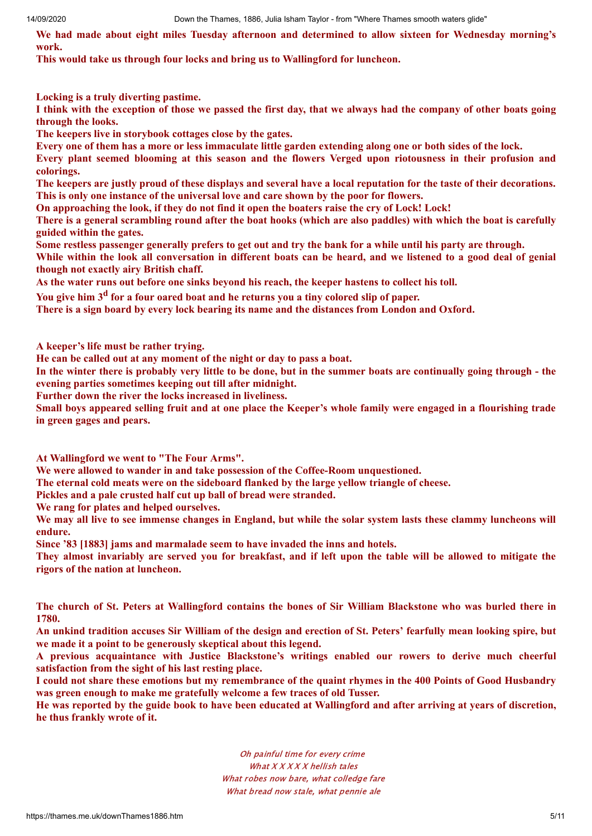14/09/2020 Down the Thames, 1886, Julia Isham Taylor - from "Where Thames smooth waters glide"

**We had made about eight miles Tuesday afternoon and determined to allow sixteen for Wednesday morning's work.**

**This would take us through four locks and bring us to Wallingford for luncheon.**

**Locking is a truly diverting pastime.**

I think with the exception of those we passed the first day, that we always had the company of other boats going **through the looks.**

**The keepers live in storybook cottages close by the gates.**

Every one of them has a more or less immaculate little garden extending along one or both sides of the lock.

**Every plant seemed blooming at this season and the flowers Verged upon riotousness in their profusion and colorings.**

The keepers are justly proud of these displays and several have a local reputation for the taste of their decorations. **This is only one instance of the universal love and care shown by the poor for flowers.**

On approaching the look, if they do not find it open the boaters raise the cry of Lock! Lock!

There is a general scrambling round after the boat hooks (which are also paddles) with which the boat is carefully **guided within the gates.**

Some restless passenger generally prefers to get out and try the bank for a while until his party are through.

While within the look all conversation in different boats can be heard, and we listened to a good deal of genial **though not exactly airy British chaff.**

**As the water runs out before one sinks beyond his reach, the keeper hastens to collect his toll.**

You give him 3<sup>d</sup> for a four oared boat and he returns you a tiny colored slip of paper.

**There is a sign board by every lock bearing its name and the distances from London and Oxford.**

**A keeper's life must be rather trying.**

**He can be called out at any moment of the night or day to pass a boat.**

In the winter there is probably very little to be done, but in the summer boats are continually going through - the **evening parties sometimes keeping out till after midnight.**

**Further down the river the locks increased in liveliness.**

Small boys appeared selling fruit and at one place the Keeper's whole family were engaged in a flourishing trade **in green gages and pears.**

**At Wallingford we went to "The Four Arms".**

**We were allowed to wander in and take possession of the Coffee-Room unquestioned.**

**The eternal cold meats were on the sideboard flanked by the large yellow triangle of cheese.**

**Pickles and a pale crusted half cut up ball of bread were stranded.**

**We rang for plates and helped ourselves.**

We may all live to see immense changes in England, but while the solar system lasts these clammy luncheons will **endure.**

**Since '83 [1883] jams and marmalade seem to have invaded the inns and hotels.**

They almost invariably are served you for breakfast, and if left upon the table will be allowed to mitigate the **rigors of the nation at luncheon.**

The church of St. Peters at Wallingford contains the bones of Sir William Blackstone who was burled there in **1780.**

An unkind tradition accuses Sir William of the design and erection of St. Peters' fearfully mean looking spire, but **we made it a point to be generously skeptical about this legend.**

**A previous acquaintance with Justice Blackstone's writings enabled our rowers to derive much cheerful satisfaction from the sight of his last resting place.**

I could not share these emotions but my remembrance of the quaint rhymes in the 400 Points of Good Husbandry **was green enough to make me gratefully welcome a few traces of old Tusser.**

He was reported by the guide book to have been educated at Wallingford and after arriving at vears of discretion, **he thus frankly wrote of it.**

> Oh painful time for every crime What X X X X hellish tales What robes now bare, what colledge fare What bread now stale, what pennie ale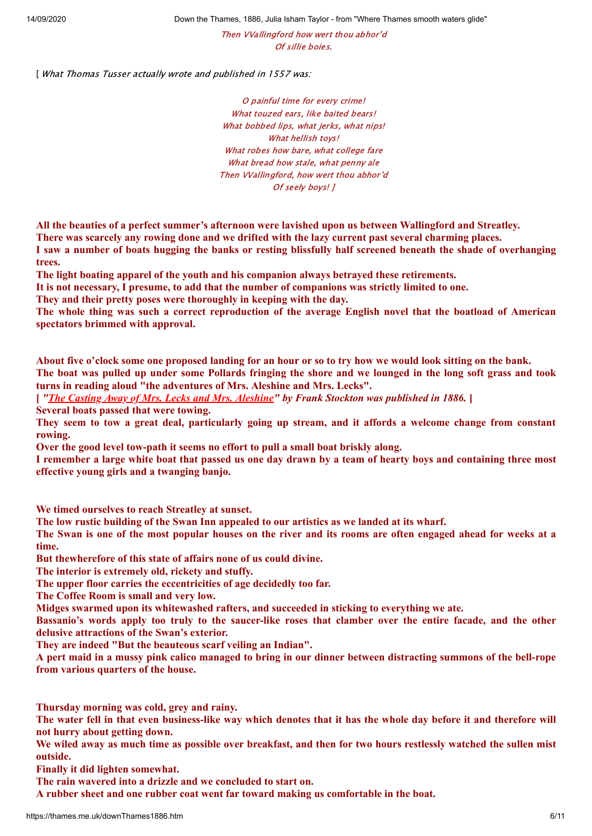14/09/2020 Down the Thames, 1886, Julia Isham Taylor - from "Where Thames smooth waters glide"

Then VVallingford how wert thou abhor'd Of sillie boies.

[ What Thomas Tusser actually wrote and published in 1557 was:

O painful time for every crime! What touzed ears, like baited bears! What bobbed lips, what jerks, what nips! What hellish toys! What robes how bare, what college fare What bread how stale, what penny ale Then VVallingford, how wert thou abhor'd Of seely boys! ]

**All the beauties of a perfect summer's afternoon were lavished upon us between Wallingford and Streatley.**

**There was scarcely any rowing done and we drifted with the lazy current past several charming places.**

I saw a number of boats hugging the banks or resting blissfully half screened beneath the shade of overhanging **trees.**

**The light boating apparel of the youth and his companion always betrayed these retirements.**

**It is not necessary, I presume, to add that the number of companions was strictly limited to one.**

**They and their pretty poses were thoroughly in keeping with the day.**

The whole thing was such a correct reproduction of the average English novel that the boatload of American **spectators brimmed with approval.**

About five o'clock some one proposed landing for an hour or so to try how we would look sitting on the bank. The boat was pulled up under some Pollards fringing the shore and we lounged in the long soft grass and took **turns in reading aloud "the adventures of Mrs. Aleshine and Mrs. Lecks".**

**[** *"The Casting Away of Mrs. Lecks and Mrs. [Aleshine"](http://www.gutenberg.org/files/35570/35570-h/35570-h.htm) by Frank Stockton was published in 1886.* **]**

**Several boats passed that were towing.**

They seem to tow a great deal, particularly going up stream, and it affords a welcome change from constant **rowing.**

**Over the good level tow-path it seems no effort to pull a small boat briskly along.**

I remember a large white boat that passed us one day drawn by a team of hearty boys and containing three most **effective young girls and a twanging banjo.**

**We timed ourselves to reach Streatley at sunset.**

**The low rustic building of the Swan Inn appealed to our artistics as we landed at its wharf.**

The Swan is one of the most popular houses on the river and its rooms are often engaged ahead for weeks at a **time.**

**But thewherefore of this state of affairs none of us could divine.**

**The interior is extremely old, rickety and stuffy.**

**The upper floor carries the eccentricities of age decidedly too far.**

**The Coffee Room is small and very low.**

**Midges swarmed upon its whitewashed rafters, and succeeded in sticking to everything we ate.**

Bassanio's words apply too truly to the saucer-like roses that clamber over the entire facade, and the other **delusive attractions of the Swan's exterior.**

**They are indeed "But the beauteous scarf veiling an Indian".**

A pert maid in a mussy pink calico managed to bring in our dinner between distracting summons of the bell-rope **from various quarters of the house.**

**Thursday morning was cold, grey and rainy.**

The water fell in that even business-like way which denotes that it has the whole day before it and therefore will **not hurry about getting down.**

We wiled away as much time as possible over breakfast, and then for two hours restlessly watched the sullen mist **outside.**

**Finally it did lighten somewhat.**

**The rain wavered into a drizzle and we concluded to start on.**

**A rubber sheet and one rubber coat went far toward making us comfortable in the boat.**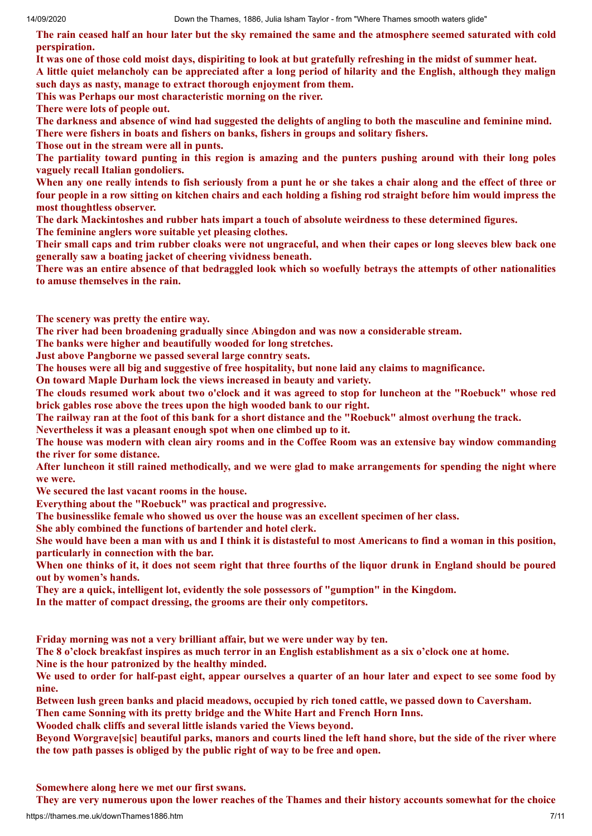The rain ceased half an hour later but the sky remained the same and the atmosphere seemed saturated with cold **perspiration.**

It was one of those cold moist days, dispiriting to look at but gratefully refreshing in the midst of summer heat. A little quiet melancholy can be appreciated after a long period of hilarity and the English, although they malign

**such days as nasty, manage to extract thorough enjoyment from them.**

**This was Perhaps our most characteristic morning on the river.**

**There were lots of people out.**

The darkness and absence of wind had suggested the delights of angling to both the masculine and feminine mind. **There were fishers in boats and fishers on banks, fishers in groups and solitary fishers.**

**Those out in the stream were all in punts.**

The partiality toward punting in this region is amazing and the punters pushing around with their long poles **vaguely recall Italian gondoliers.**

When any one really intends to fish seriously from a punt he or she takes a chair along and the effect of three or four people in a row sitting on kitchen chairs and each holding a fishing rod straight before him would impress the **most thoughtless observer.**

**The dark Mackintoshes and rubber hats impart a touch of absolute weirdness to these determined figures.**

**The feminine anglers wore suitable yet pleasing clothes.**

Their small caps and trim rubber cloaks were not ungraceful, and when their capes or long sleeves blew back one **generally saw a boating jacket of cheering vividness beneath.**

There was an entire absence of that bedraggled look which so woefully betrays the attempts of other nationalities **to amuse themselves in the rain.**

**The scenery was pretty the entire way.**

**The river had been broadening gradually since Abingdon and was now a considerable stream.**

**The banks were higher and beautifully wooded for long stretches.**

**Just above Pangborne we passed several large conntry seats.**

**The houses were all big and suggestive of free hospitality, but none laid any claims to magnificance.**

**On toward Maple Durham lock the views increased in beauty and variety.**

The clouds resumed work about two o'clock and it was agreed to stop for luncheon at the "Roebuck" whose red **brick gables rose above the trees upon the high wooded bank to our right.**

The railway ran at the foot of this bank for a short distance and the "Roebuck" almost overhung the track.

**Nevertheless it was a pleasant enough spot when one climbed up to it.**

The house was modern with clean airy rooms and in the Coffee Room was an extensive bay window commanding **the river for some distance.**

After luncheon it still rained methodically, and we were glad to make arrangements for spending the night where **we were.**

**We secured the last vacant rooms in the house.**

**Everything about the "Roebuck" was practical and progressive.**

**The businesslike female who showed us over the house was an excellent specimen of her class.**

**She ably combined the functions of bartender and hotel clerk.**

She would have been a man with us and I think it is distasteful to most Americans to find a woman in this position, **particularly in connection with the bar.**

When one thinks of it, it does not seem right that three fourths of the liquor drunk in England should be poured **out by women's hands.**

**They are a quick, intelligent lot, evidently the sole possessors of "gumption" in the Kingdom.**

**In the matter of compact dressing, the grooms are their only competitors.**

**Friday morning was not a very brilliant affair, but we were under way by ten.**

The 8 o'clock breakfast inspires as much terror in an English establishment as a six o'clock one at home.

**Nine is the hour patronized by the healthy minded.**

We used to order for half-past eight, appear ourselves a quarter of an hour later and expect to see some food by **nine.**

**Between lush green banks and placid meadows, occupied by rich toned cattle, we passed down to Caversham.**

**Then came Sonning with its pretty bridge and the White Hart and French Horn Inns.**

**Wooded chalk cliffs and several little islands varied the Views beyond.**

Beyond Worgravessic] beautiful parks, manors and courts lined the left hand shore, but the side of the river where **the tow path passes is obliged by the public right of way to be free and open.**

**Somewhere along here we met our first swans.**

They are very numerous upon the lower reaches of the Thames and their history accounts somewhat for the choice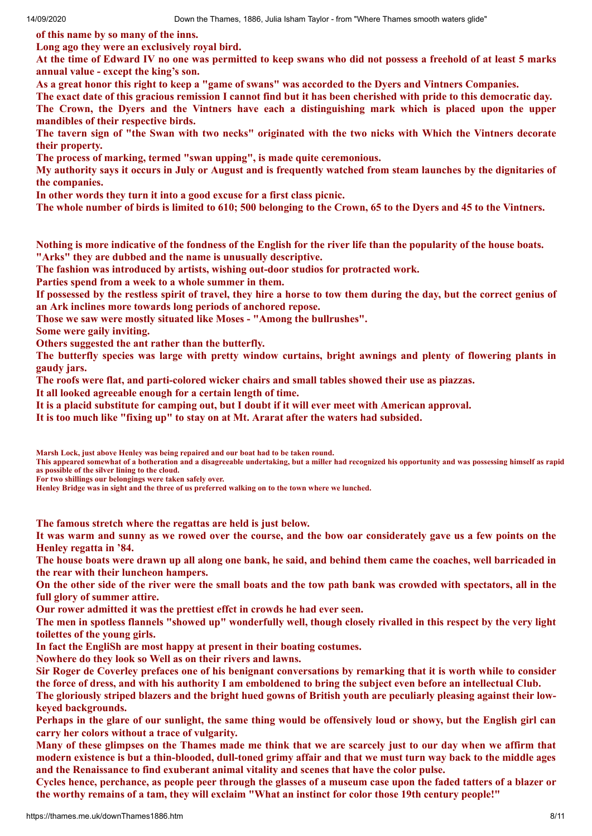**of this name by so many of the inns.**

**Long ago they were an exclusively royal bird.**

At the time of Edward IV no one was permitted to keep swans who did not possess a freehold of at least 5 marks **annual value - except the king's son.**

As a great honor this right to keep a "game of swans" was accorded to the Dyers and Vintners Companies.

The exact date of this gracious remission I cannot find but it has been cherished with pride to this democratic day. The Crown, the Dyers and the Vintners have each a distinguishing mark which is placed upon the upper **mandibles of their respective birds.**

The tavern sign of "the Swan with two necks" originated with the two nicks with Which the Vintners decorate **their property.**

**The process of marking, termed "swan upping", is made quite ceremonious.**

My authority says it occurs in July or August and is frequently watched from steam launches by the dignitaries of **the companies.**

**In other words they turn it into a good excuse for a first class picnic.**

The whole number of birds is limited to 610; 500 belonging to the Crown, 65 to the Dyers and 45 to the Vintners.

Nothing is more indicative of the fondness of the English for the river life than the popularity of the house boats. **"Arks" they are dubbed and the name is unusually descriptive.**

**The fashion was introduced by artists, wishing out-door studios for protracted work.**

**Parties spend from a week to a whole summer in them.**

If possessed by the restless spirit of travel, they hire a horse to tow them during the day, but the correct genius of **an Ark inclines more towards long periods of anchored repose.**

**Those we saw were mostly situated like Moses - "Among the bullrushes".**

**Some were gaily inviting.**

**Others suggested the ant rather than the butterfly.**

The butterfly species was large with pretty window curtains, bright awnings and plenty of flowering plants in **gaudy jars.**

**The roofs were flat, and parti-colored wicker chairs and small tables showed their use as piazzas.**

**It all looked agreeable enough for a certain length of time.**

It is a placid substitute for camping out, but I doubt if it will ever meet with American approval.

**It is too much like "fixing up" to stay on at Mt. Ararat after the waters had subsided.**

**Marsh Lock, just above Henley was being repaired and our boat had to be taken round.** 

**This appeared somewhat of a botheration and a disagreeable undertaking, but a miller had recognized his opportunity and was possessing himself as rapid as possible of the silver lining to the cloud.** 

**For two shillings our belongings were taken safely over.** 

**Henley Bridge was in sight and the three of us preferred walking on to the town where we lunched.**

**The famous stretch where the regattas are held is just below.**

It was warm and sunny as we rowed over the course, and the bow oar considerately gave us a few points on the **Henley regatta in '84.**

The house boats were drawn up all along one bank, he said, and behind them came the coaches, well barricaded in **the rear with their luncheon hampers.**

On the other side of the river were the small boats and the tow path bank was crowded with spectators, all in the **full glory of summer attire.**

**Our rower admitted it was the prettiest effct in crowds he had ever seen.**

The men in spotless flannels "showed up" wonderfully well, though closely rivalled in this respect by the very light **toilettes of the young girls.**

**In fact the EngliSh are most happy at present in their boating costumes.**

**Nowhere do they look so Well as on their rivers and lawns.**

Sir Roger de Coverley prefaces one of his benignant conversations by remarking that it is worth while to consider the force of dress, and with his authority I am emboldened to bring the subject even before an intellectual Club.

The gloriously striped blazers and the bright hued gowns of British youth are peculiarly pleasing against their low**keyed backgrounds.**

Perhaps in the glare of our sunlight, the same thing would be offensively loud or showy, but the English girl can **carry her colors without a trace of vulgarity.**

Many of these glimpses on the Thames made me think that we are scarcely just to our day when we affirm that modern existence is but a thin-blooded, dull-toned grimy affair and that we must turn way back to the middle ages **and the Renaissance to find exuberant animal vitality and scenes that have the color pulse.**

Cycles hence, perchance, as people peer through the glasses of a museum case upon the faded tatters of a blazer or the worthy remains of a tam, they will exclaim "What an instinct for color those 19th century people!"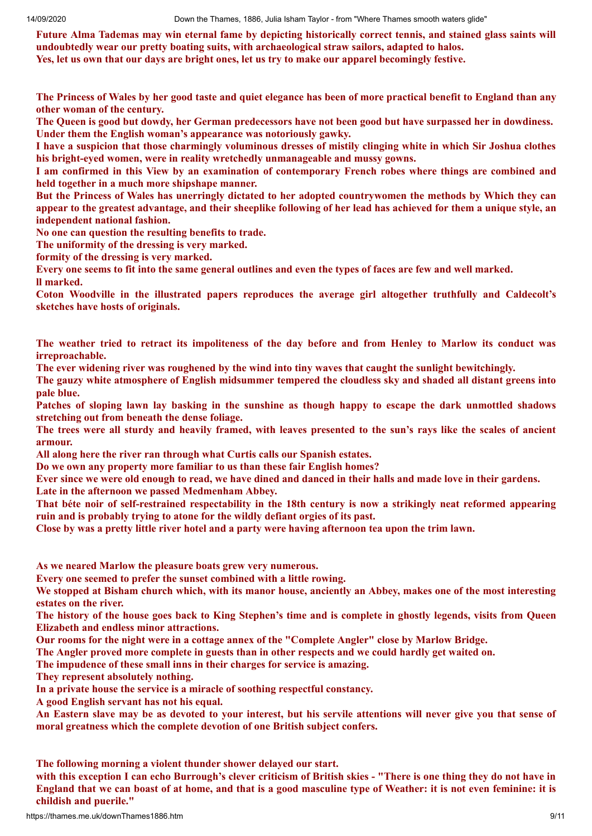Future Alma Tademas may win eternal fame by depicting historically correct tennis, and stained glass saints will **undoubtedly wear our pretty boating suits, with archaeological straw sailors, adapted to halos.** Yes, let us own that our days are bright ones, let us try to make our apparel becomingly festive.

The Princess of Wales by her good taste and quiet elegance has been of more practical benefit to England than any **other woman of the century.**

The Queen is good but dowdy, her German predecessors have not been good but have surpassed her in dowdiness. **Under them the English woman's appearance was notoriously gawky.**

I have a suspicion that those charmingly voluminous dresses of mistily clinging white in which Sir Joshua clothes **his bright-eyed women, were in reality wretchedly unmanageable and mussy gowns.**

I am confirmed in this View by an examination of contemporary French robes where things are combined and **held together in a much more shipshape manner.**

But the Princess of Wales has unerringly dictated to her adopted countrywomen the methods by Which they can appear to the greatest advantage, and their sheeplike following of her lead has achieved for them a unique style, an **independent national fashion.**

**No one can question the resulting benefits to trade.**

**The uniformity of the dressing is very marked.**

**formity of the dressing is very marked.**

Every one seems to fit into the same general outlines and even the types of faces are few and well marked. **ll marked.**

**Coton Woodville in the illustrated papers reproduces the average girl altogether truthfully and Caldecolt's sketches have hosts of originals.**

The weather tried to retract its impoliteness of the day before and from Henley to Marlow its conduct was **irreproachable.**

**The ever widening river was roughened by the wind into tiny waves that caught the sunlight bewitchingly.**

The gauzy white atmosphere of English midsummer tempered the cloudless sky and shaded all distant greens into **pale blue.**

Patches of sloping lawn lay basking in the sunshine as though happy to escape the dark unmottled shadows **stretching out from beneath the dense foliage.**

The trees were all sturdy and heavily framed, with leaves presented to the sun's rays like the scales of ancient **armour.**

**All along here the river ran through what Curtis calls our Spanish estates.**

**Do we own any property more familiar to us than these fair English homes?**

Ever since we were old enough to read, we have dined and danced in their halls and made love in their gardens.

**Late in the afternoon we passed Medmenham Abbey.**

That béte noir of self-restrained respectability in the 18th century is now a strikingly neat reformed appearing **ruin and is probably trying to atone for the wildly defiant orgies of its past.**

Close by was a pretty little river hotel and a party were having afternoon tea upon the trim lawn.

**As we neared Marlow the pleasure boats grew very numerous.**

**Every one seemed to prefer the sunset combined with a little rowing.**

We stopped at Bisham church which, with its manor house, anciently an Abbey, makes one of the most interesting **estates on the river.**

The history of the house goes back to King Stephen's time and is complete in ghostly legends, visits from Oueen **Elizabeth and endless minor attractions.**

**Our rooms for the night were in a cottage annex of the "Complete Angler" close by Marlow Bridge.**

The Angler proved more complete in guests than in other respects and we could hardly get waited on.

**The impudence of these small inns in their charges for service is amazing.**

**They represent absolutely nothing.**

**In a private house the service is a miracle of soothing respectful constancy.**

**A good English servant has not his equal.**

An Eastern slave may be as devoted to your interest, but his servile attentions will never give you that sense of **moral greatness which the complete devotion of one British subject confers.**

**The following morning a violent thunder shower delayed our start.**

with this exception I can echo Burrough's clever criticism of British skies - "There is one thing they do not have in England that we can boast of at home, and that is a good masculine type of Weather: it is not even feminine: it is **childish and puerile."**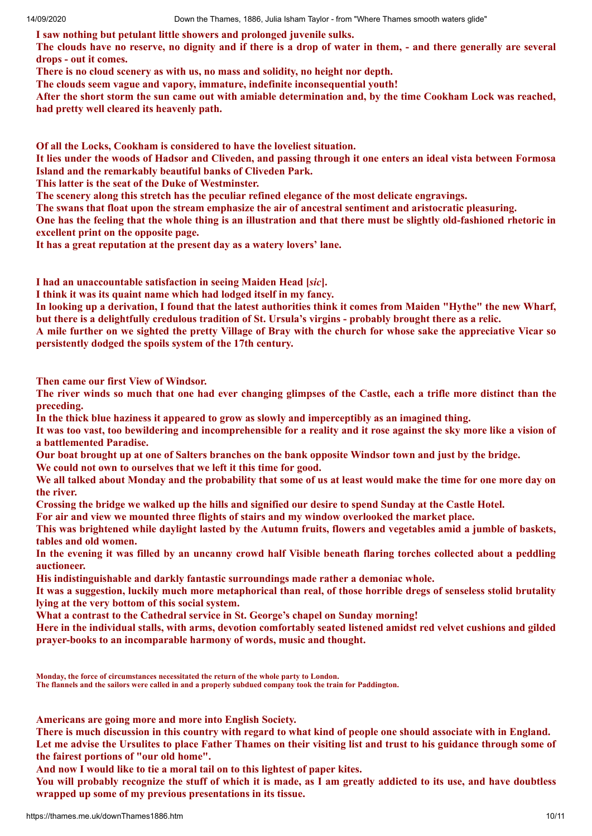**I saw nothing but petulant little showers and prolonged juvenile sulks.**

The clouds have no reserve, no dignity and if there is a drop of water in them, - and there generally are several **drops - out it comes.**

**There is no cloud scenery as with us, no mass and solidity, no height nor depth.**

**The clouds seem vague and vapory, immature, indefinite inconsequential youth!**

After the short storm the sun came out with amiable determination and, by the time Cookham Lock was reached, **had pretty well cleared its heavenly path.**

**Of all the Locks, Cookham is considered to have the loveliest situation.**

It lies under the woods of Hadsor and Cliveden, and passing through it one enters an ideal vista between Formosa **Island and the remarkably beautiful banks of Cliveden Park.**

**This latter is the seat of the Duke of Westminster.**

**The scenery along this stretch has the peculiar refined elegance of the most delicate engravings.**

**The swans that float upon the stream emphasize the air of ancestral sentiment and aristocratic pleasuring.**

One has the feeling that the whole thing is an illustration and that there must be slightly old-fashioned rhetoric in **excellent print on the opposite page.**

**It has a great reputation at the present day as a watery lovers' lane.**

**I had an unaccountable satisfaction in seeing Maiden Head [***sic***].**

**I think it was its quaint name which had lodged itself in my fancy.**

In looking up a derivation, I found that the latest authorities think it comes from Maiden "Hythe" the new Wharf, but there is a delightfully credulous tradition of St. Ursula's virgins - probably brought there as a relic.

A mile further on we sighted the pretty Village of Bray with the church for whose sake the appreciative Vicar so **persistently dodged the spoils system of the 17th century.**

**Then came our first View of Windsor.**

The river winds so much that one had ever changing glimpses of the Castle, each a trifle more distinct than the **preceding.**

**In the thick blue haziness it appeared to grow as slowly and imperceptibly as an imagined thing.**

It was too vast, too bewildering and incomprehensible for a reality and it rose against the sky more like a vision of **a battlemented Paradise.**

Our boat brought up at one of Salters branches on the bank opposite Windsor town and just by the bridge.

**We could not own to ourselves that we left it this time for good.**

We all talked about Monday and the probability that some of us at least would make the time for one more day on **the river.**

Crossing the bridge we walked up the hills and signified our desire to spend Sunday at the Castle Hotel.

**For air and view we mounted three flights of stairs and my window overlooked the market place.**

This was brightened while davlight lasted by the Autumn fruits, flowers and vegetables amid a jumble of baskets, **tables and old women.**

In the evening it was filled by an uncanny crowd half Visible beneath flaring torches collected about a peddling **auctioneer.**

**His indistinguishable and darkly fantastic surroundings made rather a demoniac whole.**

It was a suggestion, luckily much more metaphorical than real, of those horrible dregs of senseless stolid brutality **lying at the very bottom of this social system.**

**What a contrast to the Cathedral service in St. George's chapel on Sunday morning!**

Here in the individual stalls, with arms, devotion comfortably seated listened amidst red velvet cushions and gilded **prayer-books to an incomparable harmony of words, music and thought.**

**Monday, the force of circumstances necessitated the return of the whole party to London.** 

**The flannels and the sailors were called in and a properly subdued company took the train for Paddington.**

**Americans are going more and more into English Society.**

There is much discussion in this country with regard to what kind of people one should associate with in England. Let me advise the Ursulites to place Father Thames on their visiting list and trust to his guidance through some of **the fairest portions of "our old home".**

**And now I would like to tie a moral tail on to this lightest of paper kites.**

You will probably recognize the stuff of which it is made, as I am greatly addicted to its use, and have doubtless **wrapped up some of my previous presentations in its tissue.**